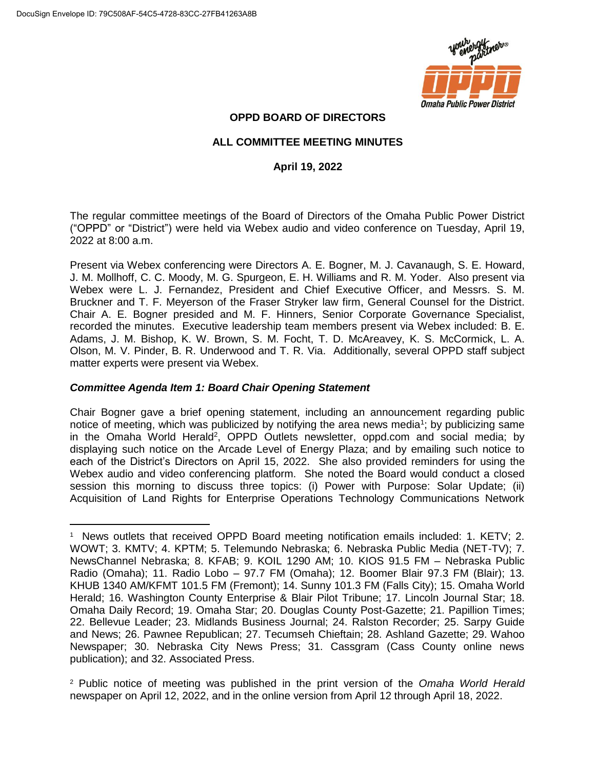

# **OPPD BOARD OF DIRECTORS**

## **ALL COMMITTEE MEETING MINUTES**

## **April 19, 2022**

The regular committee meetings of the Board of Directors of the Omaha Public Power District ("OPPD" or "District") were held via Webex audio and video conference on Tuesday, April 19, 2022 at 8:00 a.m.

Present via Webex conferencing were Directors A. E. Bogner, M. J. Cavanaugh, S. E. Howard, J. M. Mollhoff, C. C. Moody, M. G. Spurgeon, E. H. Williams and R. M. Yoder. Also present via Webex were L. J. Fernandez, President and Chief Executive Officer, and Messrs. S. M. Bruckner and T. F. Meyerson of the Fraser Stryker law firm, General Counsel for the District. Chair A. E. Bogner presided and M. F. Hinners, Senior Corporate Governance Specialist, recorded the minutes. Executive leadership team members present via Webex included: B. E. Adams, J. M. Bishop, K. W. Brown, S. M. Focht, T. D. McAreavey, K. S. McCormick, L. A. Olson, M. V. Pinder, B. R. Underwood and T. R. Via. Additionally, several OPPD staff subject matter experts were present via Webex.

## *Committee Agenda Item 1: Board Chair Opening Statement*

Chair Bogner gave a brief opening statement, including an announcement regarding public notice of meeting, which was publicized by notifying the area news media<sup>1</sup>; by publicizing same in the Omaha World Herald<sup>2</sup>, OPPD Outlets newsletter, oppd.com and social media; by displaying such notice on the Arcade Level of Energy Plaza; and by emailing such notice to each of the District's Directors on April 15, 2022. She also provided reminders for using the Webex audio and video conferencing platform. She noted the Board would conduct a closed session this morning to discuss three topics: (i) Power with Purpose: Solar Update; (ii) Acquisition of Land Rights for Enterprise Operations Technology Communications Network

 $\overline{a}$ <sup>1</sup> News outlets that received OPPD Board meeting notification emails included: 1. KETV; 2. WOWT; 3. KMTV; 4. KPTM; 5. Telemundo Nebraska; 6. Nebraska Public Media (NET-TV); 7. NewsChannel Nebraska; 8. KFAB; 9. KOIL 1290 AM; 10. KIOS 91.5 FM – Nebraska Public Radio (Omaha); 11. Radio Lobo – 97.7 FM (Omaha); 12. Boomer Blair 97.3 FM (Blair); 13. KHUB 1340 AM/KFMT 101.5 FM (Fremont); 14. Sunny 101.3 FM (Falls City); 15. Omaha World Herald; 16. Washington County Enterprise & Blair Pilot Tribune; 17. Lincoln Journal Star; 18. Omaha Daily Record; 19. Omaha Star; 20. Douglas County Post-Gazette; 21. Papillion Times; 22. Bellevue Leader; 23. Midlands Business Journal; 24. Ralston Recorder; 25. Sarpy Guide and News; 26. Pawnee Republican; 27. Tecumseh Chieftain; 28. Ashland Gazette; 29. Wahoo Newspaper; 30. Nebraska City News Press; 31. Cassgram (Cass County online news publication); and 32. Associated Press.

<sup>2</sup> Public notice of meeting was published in the print version of the *Omaha World Herald* newspaper on April 12, 2022, and in the online version from April 12 through April 18, 2022.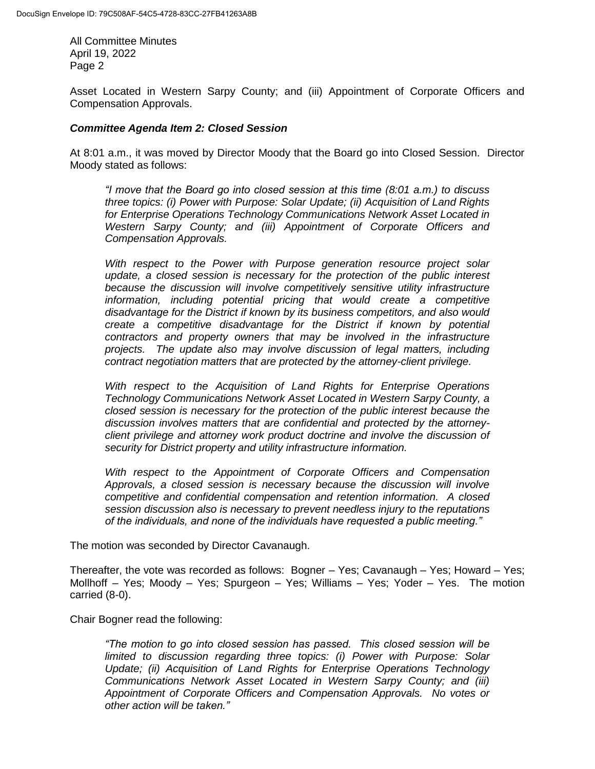Asset Located in Western Sarpy County; and (iii) Appointment of Corporate Officers and Compensation Approvals.

#### *Committee Agenda Item 2: Closed Session*

At 8:01 a.m., it was moved by Director Moody that the Board go into Closed Session. Director Moody stated as follows:

*"I move that the Board go into closed session at this time (8:01 a.m.) to discuss three topics: (i) Power with Purpose: Solar Update; (ii) Acquisition of Land Rights for Enterprise Operations Technology Communications Network Asset Located in Western Sarpy County; and (iii) Appointment of Corporate Officers and Compensation Approvals.*

*With respect to the Power with Purpose generation resource project solar update, a closed session is necessary for the protection of the public interest because the discussion will involve competitively sensitive utility infrastructure information, including potential pricing that would create a competitive disadvantage for the District if known by its business competitors, and also would create a competitive disadvantage for the District if known by potential contractors and property owners that may be involved in the infrastructure projects. The update also may involve discussion of legal matters, including contract negotiation matters that are protected by the attorney-client privilege.*

*With respect to the Acquisition of Land Rights for Enterprise Operations Technology Communications Network Asset Located in Western Sarpy County, a closed session is necessary for the protection of the public interest because the discussion involves matters that are confidential and protected by the attorneyclient privilege and attorney work product doctrine and involve the discussion of security for District property and utility infrastructure information.*

*With respect to the Appointment of Corporate Officers and Compensation Approvals, a closed session is necessary because the discussion will involve competitive and confidential compensation and retention information. A closed session discussion also is necessary to prevent needless injury to the reputations of the individuals, and none of the individuals have requested a public meeting."*

The motion was seconded by Director Cavanaugh.

Thereafter, the vote was recorded as follows: Bogner – Yes; Cavanaugh – Yes; Howard – Yes; Mollhoff – Yes; Moody – Yes; Spurgeon – Yes; Williams – Yes; Yoder – Yes. The motion carried (8-0).

Chair Bogner read the following:

*"The motion to go into closed session has passed. This closed session will be limited to discussion regarding three topics: (i) Power with Purpose: Solar Update; (ii) Acquisition of Land Rights for Enterprise Operations Technology Communications Network Asset Located in Western Sarpy County; and (iii) Appointment of Corporate Officers and Compensation Approvals. No votes or other action will be taken."*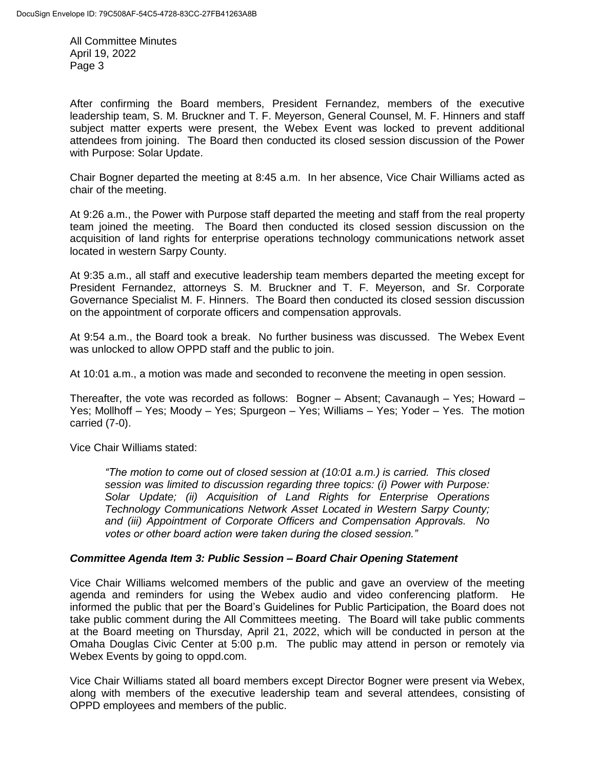After confirming the Board members, President Fernandez, members of the executive leadership team, S. M. Bruckner and T. F. Meyerson, General Counsel, M. F. Hinners and staff subject matter experts were present, the Webex Event was locked to prevent additional attendees from joining. The Board then conducted its closed session discussion of the Power with Purpose: Solar Update.

Chair Bogner departed the meeting at 8:45 a.m. In her absence, Vice Chair Williams acted as chair of the meeting.

At 9:26 a.m., the Power with Purpose staff departed the meeting and staff from the real property team joined the meeting. The Board then conducted its closed session discussion on the acquisition of land rights for enterprise operations technology communications network asset located in western Sarpy County.

At 9:35 a.m., all staff and executive leadership team members departed the meeting except for President Fernandez, attorneys S. M. Bruckner and T. F. Meyerson, and Sr. Corporate Governance Specialist M. F. Hinners. The Board then conducted its closed session discussion on the appointment of corporate officers and compensation approvals.

At 9:54 a.m., the Board took a break. No further business was discussed. The Webex Event was unlocked to allow OPPD staff and the public to join.

At 10:01 a.m., a motion was made and seconded to reconvene the meeting in open session.

Thereafter, the vote was recorded as follows: Bogner – Absent; Cavanaugh – Yes; Howard – Yes; Mollhoff – Yes; Moody – Yes; Spurgeon – Yes; Williams – Yes; Yoder – Yes. The motion carried (7-0).

Vice Chair Williams stated:

*"The motion to come out of closed session at (10:01 a.m.) is carried. This closed session was limited to discussion regarding three topics: (i) Power with Purpose: Solar Update; (ii) Acquisition of Land Rights for Enterprise Operations Technology Communications Network Asset Located in Western Sarpy County; and (iii) Appointment of Corporate Officers and Compensation Approvals. No votes or other board action were taken during the closed session."* 

## *Committee Agenda Item 3: Public Session – Board Chair Opening Statement*

Vice Chair Williams welcomed members of the public and gave an overview of the meeting agenda and reminders for using the Webex audio and video conferencing platform. He informed the public that per the Board's Guidelines for Public Participation, the Board does not take public comment during the All Committees meeting. The Board will take public comments at the Board meeting on Thursday, April 21, 2022, which will be conducted in person at the Omaha Douglas Civic Center at 5:00 p.m. The public may attend in person or remotely via Webex Events by going to oppd.com.

Vice Chair Williams stated all board members except Director Bogner were present via Webex, along with members of the executive leadership team and several attendees, consisting of OPPD employees and members of the public.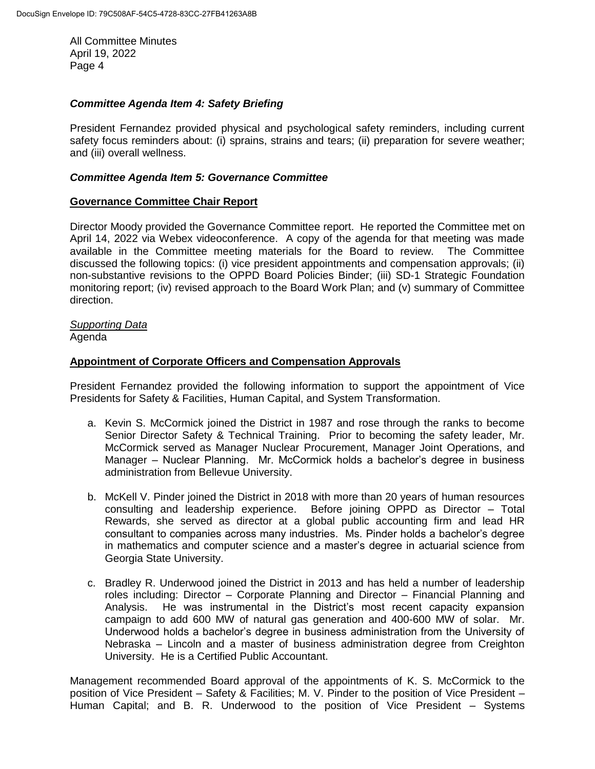#### *Committee Agenda Item 4: Safety Briefing*

President Fernandez provided physical and psychological safety reminders, including current safety focus reminders about: (i) sprains, strains and tears; (ii) preparation for severe weather; and (iii) overall wellness.

#### *Committee Agenda Item 5: Governance Committee*

#### **Governance Committee Chair Report**

Director Moody provided the Governance Committee report. He reported the Committee met on April 14, 2022 via Webex videoconference. A copy of the agenda for that meeting was made available in the Committee meeting materials for the Board to review. The Committee discussed the following topics: (i) vice president appointments and compensation approvals; (ii) non-substantive revisions to the OPPD Board Policies Binder; (iii) SD-1 Strategic Foundation monitoring report; (iv) revised approach to the Board Work Plan; and (v) summary of Committee direction.

# *Supporting Data*

Agenda

## **Appointment of Corporate Officers and Compensation Approvals**

President Fernandez provided the following information to support the appointment of Vice Presidents for Safety & Facilities, Human Capital, and System Transformation.

- a. Kevin S. McCormick joined the District in 1987 and rose through the ranks to become Senior Director Safety & Technical Training. Prior to becoming the safety leader, Mr. McCormick served as Manager Nuclear Procurement, Manager Joint Operations, and Manager – Nuclear Planning. Mr. McCormick holds a bachelor's degree in business administration from Bellevue University.
- b. McKell V. Pinder joined the District in 2018 with more than 20 years of human resources consulting and leadership experience. Before joining OPPD as Director – Total Rewards, she served as director at a global public accounting firm and lead HR consultant to companies across many industries. Ms. Pinder holds a bachelor's degree in mathematics and computer science and a master's degree in actuarial science from Georgia State University.
- c. Bradley R. Underwood joined the District in 2013 and has held a number of leadership roles including: Director – Corporate Planning and Director – Financial Planning and Analysis. He was instrumental in the District's most recent capacity expansion campaign to add 600 MW of natural gas generation and 400-600 MW of solar. Mr. Underwood holds a bachelor's degree in business administration from the University of Nebraska – Lincoln and a master of business administration degree from Creighton University. He is a Certified Public Accountant.

Management recommended Board approval of the appointments of K. S. McCormick to the position of Vice President – Safety & Facilities; M. V. Pinder to the position of Vice President – Human Capital; and B. R. Underwood to the position of Vice President – Systems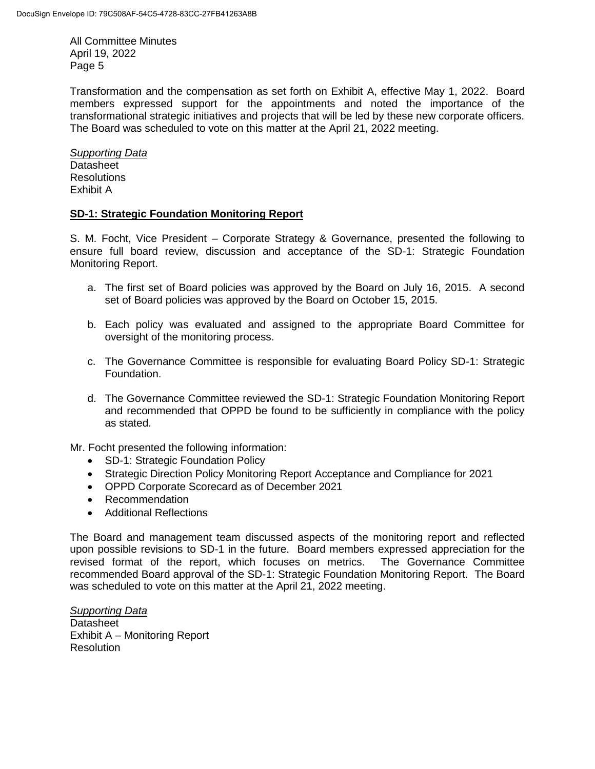Transformation and the compensation as set forth on Exhibit A, effective May 1, 2022. Board members expressed support for the appointments and noted the importance of the transformational strategic initiatives and projects that will be led by these new corporate officers. The Board was scheduled to vote on this matter at the April 21, 2022 meeting.

*Supporting Data* **Datasheet** Resolutions Exhibit A

## **SD-1: Strategic Foundation Monitoring Report**

S. M. Focht, Vice President – Corporate Strategy & Governance, presented the following to ensure full board review, discussion and acceptance of the SD-1: Strategic Foundation Monitoring Report.

- a. The first set of Board policies was approved by the Board on July 16, 2015. A second set of Board policies was approved by the Board on October 15, 2015.
- b. Each policy was evaluated and assigned to the appropriate Board Committee for oversight of the monitoring process.
- c. The Governance Committee is responsible for evaluating Board Policy SD-1: Strategic Foundation.
- d. The Governance Committee reviewed the SD-1: Strategic Foundation Monitoring Report and recommended that OPPD be found to be sufficiently in compliance with the policy as stated.

Mr. Focht presented the following information:

- SD-1: Strategic Foundation Policy
- Strategic Direction Policy Monitoring Report Acceptance and Compliance for 2021
- OPPD Corporate Scorecard as of December 2021
- Recommendation
- Additional Reflections

The Board and management team discussed aspects of the monitoring report and reflected upon possible revisions to SD-1 in the future. Board members expressed appreciation for the revised format of the report, which focuses on metrics. The Governance Committee recommended Board approval of the SD-1: Strategic Foundation Monitoring Report. The Board was scheduled to vote on this matter at the April 21, 2022 meeting.

*Supporting Data* Datasheet Exhibit A – Monitoring Report Resolution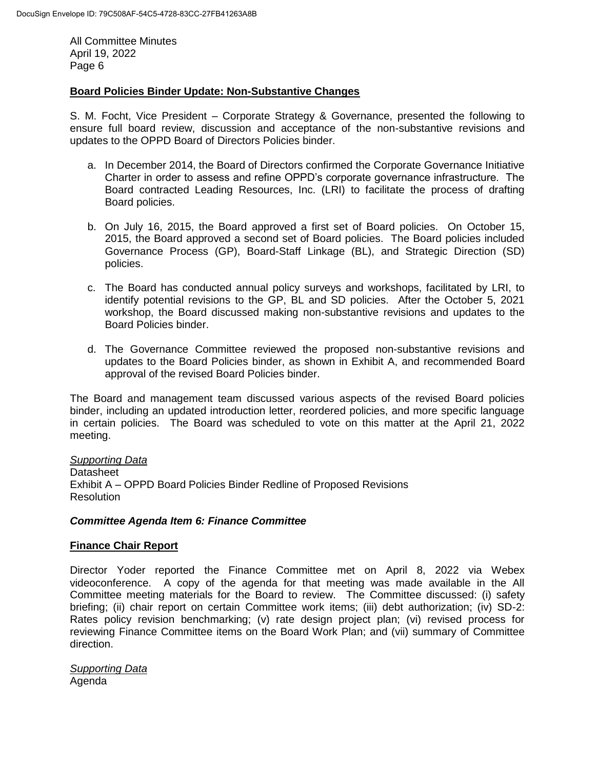## **Board Policies Binder Update: Non-Substantive Changes**

S. M. Focht, Vice President – Corporate Strategy & Governance, presented the following to ensure full board review, discussion and acceptance of the non-substantive revisions and updates to the OPPD Board of Directors Policies binder.

- a. In December 2014, the Board of Directors confirmed the Corporate Governance Initiative Charter in order to assess and refine OPPD's corporate governance infrastructure. The Board contracted Leading Resources, Inc. (LRI) to facilitate the process of drafting Board policies.
- b. On July 16, 2015, the Board approved a first set of Board policies. On October 15, 2015, the Board approved a second set of Board policies. The Board policies included Governance Process (GP), Board-Staff Linkage (BL), and Strategic Direction (SD) policies.
- c. The Board has conducted annual policy surveys and workshops, facilitated by LRI, to identify potential revisions to the GP, BL and SD policies. After the October 5, 2021 workshop, the Board discussed making non-substantive revisions and updates to the Board Policies binder.
- d. The Governance Committee reviewed the proposed non-substantive revisions and updates to the Board Policies binder, as shown in Exhibit A, and recommended Board approval of the revised Board Policies binder.

The Board and management team discussed various aspects of the revised Board policies binder, including an updated introduction letter, reordered policies, and more specific language in certain policies. The Board was scheduled to vote on this matter at the April 21, 2022 meeting.

*Supporting Data* Datasheet Exhibit A – OPPD Board Policies Binder Redline of Proposed Revisions **Resolution** 

#### *Committee Agenda Item 6: Finance Committee*

#### **Finance Chair Report**

Director Yoder reported the Finance Committee met on April 8, 2022 via Webex videoconference. A copy of the agenda for that meeting was made available in the All Committee meeting materials for the Board to review. The Committee discussed: (i) safety briefing; (ii) chair report on certain Committee work items; (iii) debt authorization; (iv) SD-2: Rates policy revision benchmarking; (v) rate design project plan; (vi) revised process for reviewing Finance Committee items on the Board Work Plan; and (vii) summary of Committee direction.

*Supporting Data* Agenda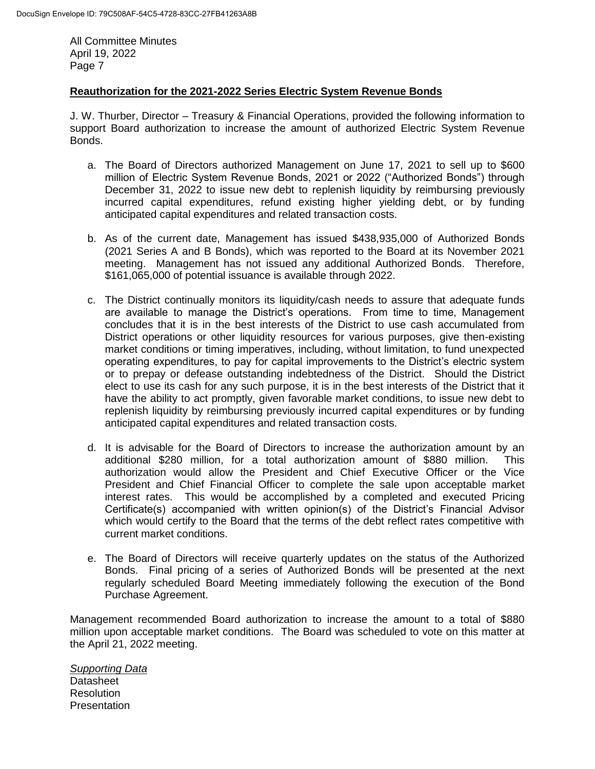## **Reauthorization for the 2021-2022 Series Electric System Revenue Bonds**

J. W. Thurber, Director – Treasury & Financial Operations, provided the following information to support Board authorization to increase the amount of authorized Electric System Revenue Bonds.

- a. The Board of Directors authorized Management on June 17, 2021 to sell up to \$600 million of Electric System Revenue Bonds, 2021 or 2022 ("Authorized Bonds") through December 31, 2022 to issue new debt to replenish liquidity by reimbursing previously incurred capital expenditures, refund existing higher yielding debt, or by funding anticipated capital expenditures and related transaction costs.
- b. As of the current date, Management has issued \$438,935,000 of Authorized Bonds (2021 Series A and B Bonds), which was reported to the Board at its November 2021 meeting. Management has not issued any additional Authorized Bonds. Therefore, \$161,065,000 of potential issuance is available through 2022.
- c. The District continually monitors its liquidity/cash needs to assure that adequate funds are available to manage the District's operations. From time to time, Management concludes that it is in the best interests of the District to use cash accumulated from District operations or other liquidity resources for various purposes, give then-existing market conditions or timing imperatives, including, without limitation, to fund unexpected operating expenditures, to pay for capital improvements to the District's electric system or to prepay or defease outstanding indebtedness of the District. Should the District elect to use its cash for any such purpose, it is in the best interests of the District that it have the ability to act promptly, given favorable market conditions, to issue new debt to replenish liquidity by reimbursing previously incurred capital expenditures or by funding anticipated capital expenditures and related transaction costs.
- d. It is advisable for the Board of Directors to increase the authorization amount by an additional \$280 million, for a total authorization amount of \$880 million. This authorization would allow the President and Chief Executive Officer or the Vice President and Chief Financial Officer to complete the sale upon acceptable market interest rates. This would be accomplished by a completed and executed Pricing Certificate(s) accompanied with written opinion(s) of the District's Financial Advisor which would certify to the Board that the terms of the debt reflect rates competitive with current market conditions.
- e. The Board of Directors will receive quarterly updates on the status of the Authorized Bonds. Final pricing of a series of Authorized Bonds will be presented at the next regularly scheduled Board Meeting immediately following the execution of the Bond Purchase Agreement.

Management recommended Board authorization to increase the amount to a total of \$880 million upon acceptable market conditions. The Board was scheduled to vote on this matter at the April 21, 2022 meeting.

*Supporting Data* Datasheet Resolution **Presentation**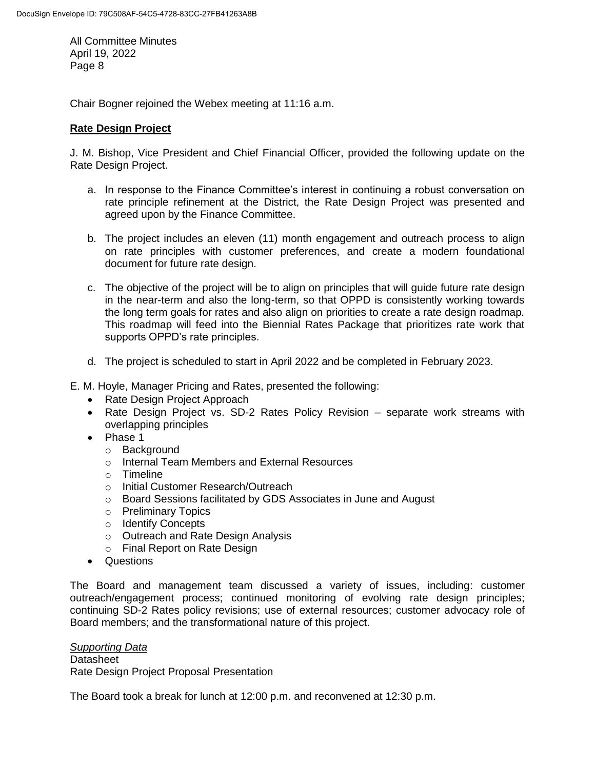Chair Bogner rejoined the Webex meeting at 11:16 a.m.

## **Rate Design Project**

J. M. Bishop, Vice President and Chief Financial Officer, provided the following update on the Rate Design Project.

- a. In response to the Finance Committee's interest in continuing a robust conversation on rate principle refinement at the District, the Rate Design Project was presented and agreed upon by the Finance Committee.
- b. The project includes an eleven (11) month engagement and outreach process to align on rate principles with customer preferences, and create a modern foundational document for future rate design.
- c. The objective of the project will be to align on principles that will guide future rate design in the near-term and also the long-term, so that OPPD is consistently working towards the long term goals for rates and also align on priorities to create a rate design roadmap. This roadmap will feed into the Biennial Rates Package that prioritizes rate work that supports OPPD's rate principles.
- d. The project is scheduled to start in April 2022 and be completed in February 2023.
- E. M. Hoyle, Manager Pricing and Rates, presented the following:
	- Rate Design Project Approach
	- Rate Design Project vs. SD-2 Rates Policy Revision separate work streams with overlapping principles
	- Phase 1
		- o Background
		- o Internal Team Members and External Resources
		- o Timeline
		- o Initial Customer Research/Outreach
		- o Board Sessions facilitated by GDS Associates in June and August
		- o Preliminary Topics
		- o Identify Concepts
		- o Outreach and Rate Design Analysis
		- o Final Report on Rate Design
	- Questions

The Board and management team discussed a variety of issues, including: customer outreach/engagement process; continued monitoring of evolving rate design principles; continuing SD-2 Rates policy revisions; use of external resources; customer advocacy role of Board members; and the transformational nature of this project.

*Supporting Data* **Datasheet** Rate Design Project Proposal Presentation

The Board took a break for lunch at 12:00 p.m. and reconvened at 12:30 p.m.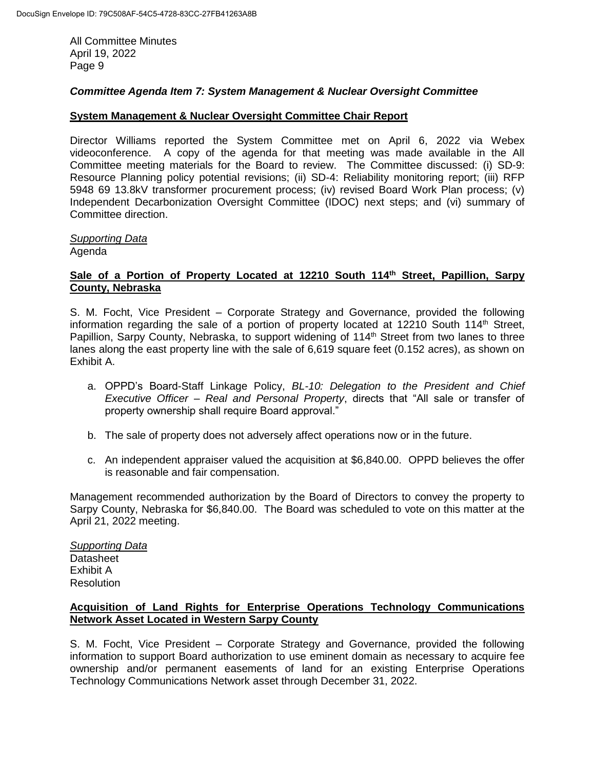## *Committee Agenda Item 7: System Management & Nuclear Oversight Committee*

#### **System Management & Nuclear Oversight Committee Chair Report**

Director Williams reported the System Committee met on April 6, 2022 via Webex videoconference. A copy of the agenda for that meeting was made available in the All Committee meeting materials for the Board to review. The Committee discussed: (i) SD-9: Resource Planning policy potential revisions; (ii) SD-4: Reliability monitoring report; (iii) RFP 5948 69 13.8kV transformer procurement process; (iv) revised Board Work Plan process; (v) Independent Decarbonization Oversight Committee (IDOC) next steps; and (vi) summary of Committee direction.

#### *Supporting Data* Agenda

## **Sale of a Portion of Property Located at 12210 South 114th Street, Papillion, Sarpy County, Nebraska**

S. M. Focht, Vice President – Corporate Strategy and Governance, provided the following information regarding the sale of a portion of property located at 12210 South  $114<sup>th</sup>$  Street, Papillion, Sarpy County, Nebraska, to support widening of 114<sup>th</sup> Street from two lanes to three lanes along the east property line with the sale of 6,619 square feet (0.152 acres), as shown on Exhibit A.

- a. OPPD's Board-Staff Linkage Policy, *BL-10: Delegation to the President and Chief Executive Officer – Real and Personal Property*, directs that "All sale or transfer of property ownership shall require Board approval."
- b. The sale of property does not adversely affect operations now or in the future.
- c. An independent appraiser valued the acquisition at \$6,840.00. OPPD believes the offer is reasonable and fair compensation.

Management recommended authorization by the Board of Directors to convey the property to Sarpy County, Nebraska for \$6,840.00. The Board was scheduled to vote on this matter at the April 21, 2022 meeting.

*Supporting Data* Datasheet Exhibit A **Resolution** 

## **Acquisition of Land Rights for Enterprise Operations Technology Communications Network Asset Located in Western Sarpy County**

S. M. Focht, Vice President – Corporate Strategy and Governance, provided the following information to support Board authorization to use eminent domain as necessary to acquire fee ownership and/or permanent easements of land for an existing Enterprise Operations Technology Communications Network asset through December 31, 2022.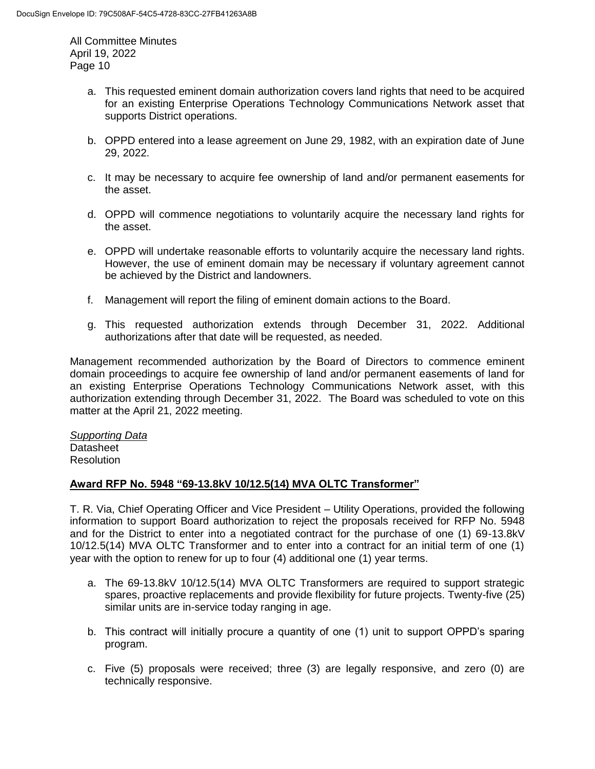- a. This requested eminent domain authorization covers land rights that need to be acquired for an existing Enterprise Operations Technology Communications Network asset that supports District operations.
- b. OPPD entered into a lease agreement on June 29, 1982, with an expiration date of June 29, 2022.
- c. It may be necessary to acquire fee ownership of land and/or permanent easements for the asset.
- d. OPPD will commence negotiations to voluntarily acquire the necessary land rights for the asset.
- e. OPPD will undertake reasonable efforts to voluntarily acquire the necessary land rights. However, the use of eminent domain may be necessary if voluntary agreement cannot be achieved by the District and landowners.
- f. Management will report the filing of eminent domain actions to the Board.
- g. This requested authorization extends through December 31, 2022. Additional authorizations after that date will be requested, as needed.

Management recommended authorization by the Board of Directors to commence eminent domain proceedings to acquire fee ownership of land and/or permanent easements of land for an existing Enterprise Operations Technology Communications Network asset, with this authorization extending through December 31, 2022. The Board was scheduled to vote on this matter at the April 21, 2022 meeting.

#### *Supporting Data* **Datasheet Resolution**

## **Award RFP No. 5948 "69-13.8kV 10/12.5(14) MVA OLTC Transformer"**

T. R. Via, Chief Operating Officer and Vice President – Utility Operations, provided the following information to support Board authorization to reject the proposals received for RFP No. 5948 and for the District to enter into a negotiated contract for the purchase of one (1) 69-13.8kV 10/12.5(14) MVA OLTC Transformer and to enter into a contract for an initial term of one (1) year with the option to renew for up to four (4) additional one (1) year terms.

- a. The 69-13.8kV 10/12.5(14) MVA OLTC Transformers are required to support strategic spares, proactive replacements and provide flexibility for future projects. Twenty-five (25) similar units are in-service today ranging in age.
- b. This contract will initially procure a quantity of one (1) unit to support OPPD's sparing program.
- c. Five (5) proposals were received; three (3) are legally responsive, and zero (0) are technically responsive.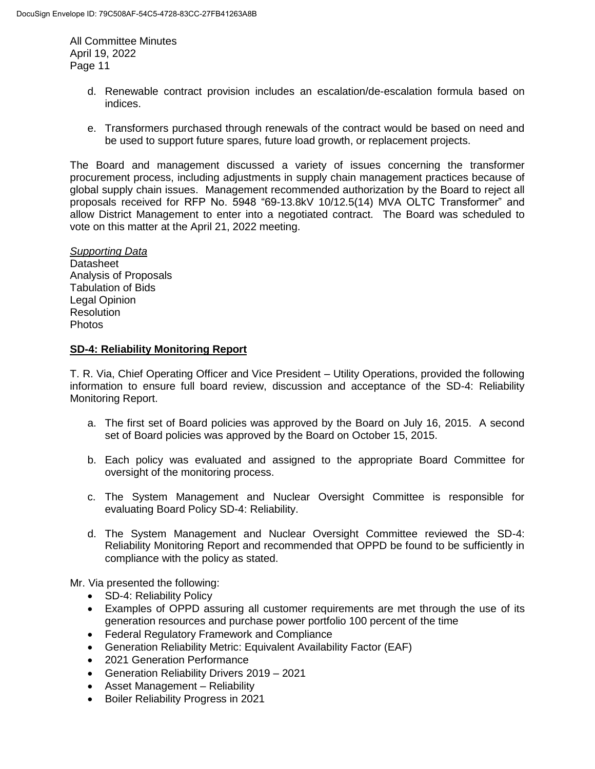- d. Renewable contract provision includes an escalation/de-escalation formula based on indices.
- e. Transformers purchased through renewals of the contract would be based on need and be used to support future spares, future load growth, or replacement projects.

The Board and management discussed a variety of issues concerning the transformer procurement process, including adjustments in supply chain management practices because of global supply chain issues. Management recommended authorization by the Board to reject all proposals received for RFP No. 5948 "69-13.8kV 10/12.5(14) MVA OLTC Transformer" and allow District Management to enter into a negotiated contract. The Board was scheduled to vote on this matter at the April 21, 2022 meeting.

*Supporting Data* **Datasheet** Analysis of Proposals Tabulation of Bids Legal Opinion **Resolution** Photos

## **SD-4: Reliability Monitoring Report**

T. R. Via, Chief Operating Officer and Vice President – Utility Operations, provided the following information to ensure full board review, discussion and acceptance of the SD-4: Reliability Monitoring Report.

- a. The first set of Board policies was approved by the Board on July 16, 2015. A second set of Board policies was approved by the Board on October 15, 2015.
- b. Each policy was evaluated and assigned to the appropriate Board Committee for oversight of the monitoring process.
- c. The System Management and Nuclear Oversight Committee is responsible for evaluating Board Policy SD-4: Reliability.
- d. The System Management and Nuclear Oversight Committee reviewed the SD-4: Reliability Monitoring Report and recommended that OPPD be found to be sufficiently in compliance with the policy as stated.

Mr. Via presented the following:

- SD-4: Reliability Policy
- Examples of OPPD assuring all customer requirements are met through the use of its generation resources and purchase power portfolio 100 percent of the time
- Federal Regulatory Framework and Compliance
- Generation Reliability Metric: Equivalent Availability Factor (EAF)
- 2021 Generation Performance
- Generation Reliability Drivers 2019 2021
- Asset Management Reliability
- Boiler Reliability Progress in 2021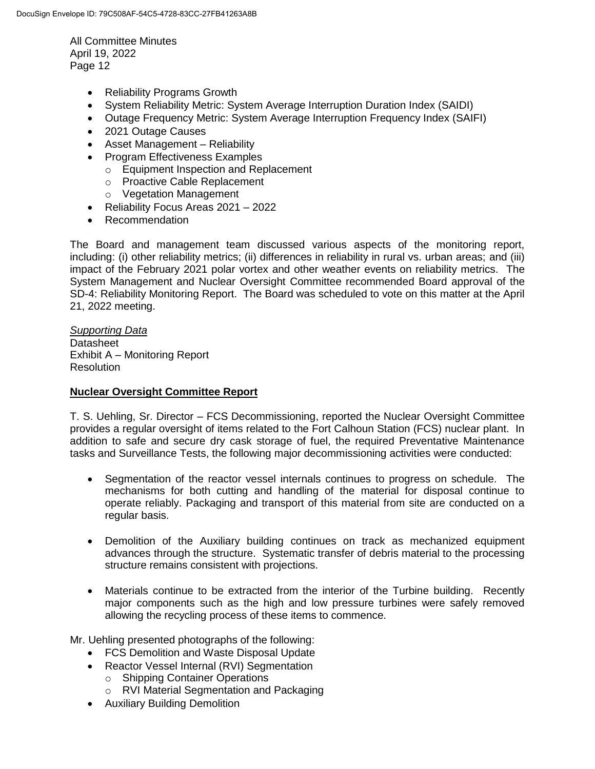- Reliability Programs Growth
- System Reliability Metric: System Average Interruption Duration Index (SAIDI)
- Outage Frequency Metric: System Average Interruption Frequency Index (SAIFI)
- 2021 Outage Causes
- Asset Management Reliability
- Program Effectiveness Examples
	- o Equipment Inspection and Replacement
	- o Proactive Cable Replacement
	- o Vegetation Management
- Reliability Focus Areas 2021 2022
- Recommendation

The Board and management team discussed various aspects of the monitoring report, including: (i) other reliability metrics; (ii) differences in reliability in rural vs. urban areas; and (iii) impact of the February 2021 polar vortex and other weather events on reliability metrics. The System Management and Nuclear Oversight Committee recommended Board approval of the SD-4: Reliability Monitoring Report. The Board was scheduled to vote on this matter at the April 21, 2022 meeting.

*Supporting Data* **Datasheet** Exhibit A – Monitoring Report **Resolution** 

## **Nuclear Oversight Committee Report**

T. S. Uehling, Sr. Director – FCS Decommissioning, reported the Nuclear Oversight Committee provides a regular oversight of items related to the Fort Calhoun Station (FCS) nuclear plant. In addition to safe and secure dry cask storage of fuel, the required Preventative Maintenance tasks and Surveillance Tests, the following major decommissioning activities were conducted:

- Segmentation of the reactor vessel internals continues to progress on schedule. The mechanisms for both cutting and handling of the material for disposal continue to operate reliably. Packaging and transport of this material from site are conducted on a regular basis.
- Demolition of the Auxiliary building continues on track as mechanized equipment advances through the structure. Systematic transfer of debris material to the processing structure remains consistent with projections.
- Materials continue to be extracted from the interior of the Turbine building. Recently major components such as the high and low pressure turbines were safely removed allowing the recycling process of these items to commence.

Mr. Uehling presented photographs of the following:

- FCS Demolition and Waste Disposal Update
- Reactor Vessel Internal (RVI) Segmentation
	- o Shipping Container Operations
	- o RVI Material Segmentation and Packaging
- Auxiliary Building Demolition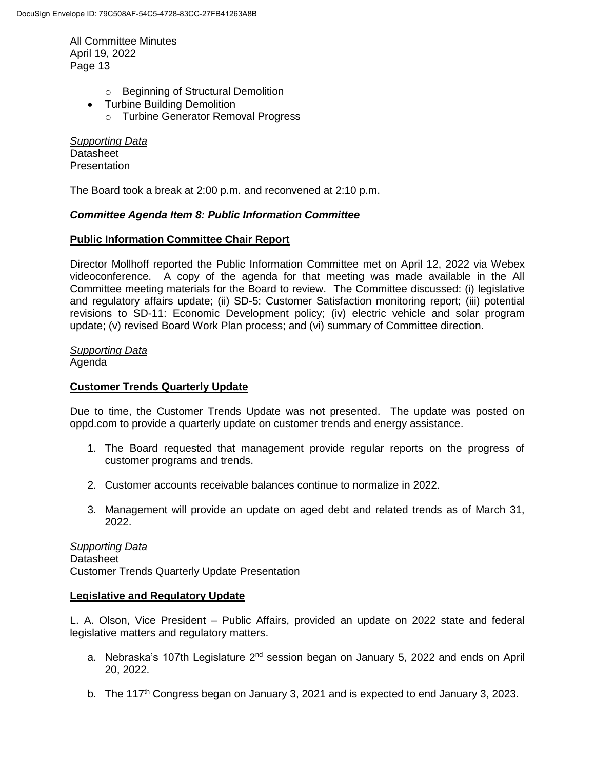- o Beginning of Structural Demolition
- Turbine Building Demolition
	- o Turbine Generator Removal Progress

*Supporting Data* **Datasheet Presentation** 

The Board took a break at 2:00 p.m. and reconvened at 2:10 p.m.

## *Committee Agenda Item 8: Public Information Committee*

## **Public Information Committee Chair Report**

Director Mollhoff reported the Public Information Committee met on April 12, 2022 via Webex videoconference. A copy of the agenda for that meeting was made available in the All Committee meeting materials for the Board to review. The Committee discussed: (i) legislative and regulatory affairs update; (ii) SD-5: Customer Satisfaction monitoring report; (iii) potential revisions to SD-11: Economic Development policy; (iv) electric vehicle and solar program update; (v) revised Board Work Plan process; and (vi) summary of Committee direction.

*Supporting Data* Agenda

## **Customer Trends Quarterly Update**

Due to time, the Customer Trends Update was not presented. The update was posted on oppd.com to provide a quarterly update on customer trends and energy assistance.

- 1. The Board requested that management provide regular reports on the progress of customer programs and trends.
- 2. Customer accounts receivable balances continue to normalize in 2022.
- 3. Management will provide an update on aged debt and related trends as of March 31, 2022.

*Supporting Data* **Datasheet** Customer Trends Quarterly Update Presentation

#### **Legislative and Regulatory Update**

L. A. Olson, Vice President – Public Affairs, provided an update on 2022 state and federal legislative matters and regulatory matters.

- a. Nebraska's 107th Legislature  $2^{nd}$  session began on January 5, 2022 and ends on April 20, 2022.
- b. The 117<sup>th</sup> Congress began on January 3, 2021 and is expected to end January 3, 2023.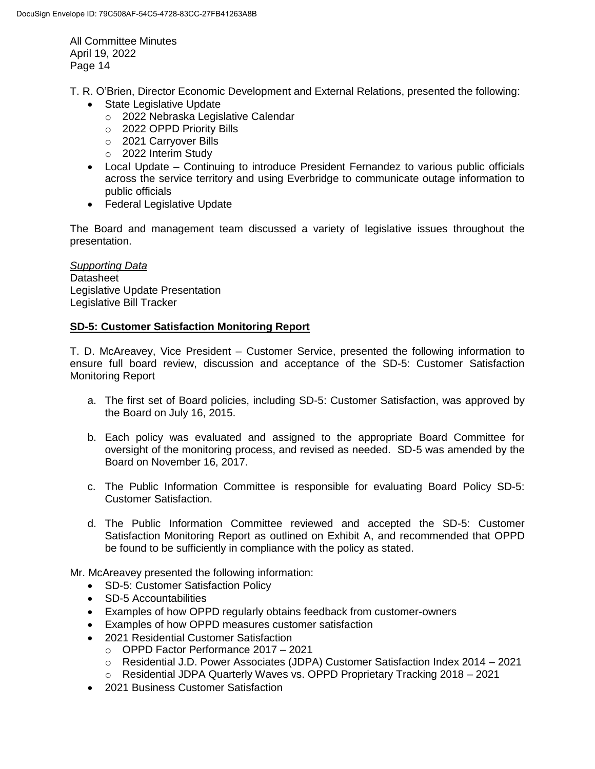T. R. O'Brien, Director Economic Development and External Relations, presented the following:

- State Legislative Update
	- o 2022 Nebraska Legislative Calendar
	- o 2022 OPPD Priority Bills
	- o 2021 Carryover Bills
	- o 2022 Interim Study
- Local Update Continuing to introduce President Fernandez to various public officials across the service territory and using Everbridge to communicate outage information to public officials
- Federal Legislative Update

The Board and management team discussed a variety of legislative issues throughout the presentation.

*Supporting Data* **Datasheet** Legislative Update Presentation Legislative Bill Tracker

## **SD-5: Customer Satisfaction Monitoring Report**

T. D. McAreavey, Vice President – Customer Service, presented the following information to ensure full board review, discussion and acceptance of the SD-5: Customer Satisfaction Monitoring Report

- a. The first set of Board policies, including SD-5: Customer Satisfaction, was approved by the Board on July 16, 2015.
- b. Each policy was evaluated and assigned to the appropriate Board Committee for oversight of the monitoring process, and revised as needed. SD-5 was amended by the Board on November 16, 2017.
- c. The Public Information Committee is responsible for evaluating Board Policy SD-5: Customer Satisfaction.
- d. The Public Information Committee reviewed and accepted the SD-5: Customer Satisfaction Monitoring Report as outlined on Exhibit A, and recommended that OPPD be found to be sufficiently in compliance with the policy as stated.

Mr. McAreavey presented the following information:

- SD-5: Customer Satisfaction Policy
- SD-5 Accountabilities
- Examples of how OPPD regularly obtains feedback from customer-owners
- Examples of how OPPD measures customer satisfaction
- 2021 Residential Customer Satisfaction
	- o OPPD Factor Performance 2017 2021
	- o Residential J.D. Power Associates (JDPA) Customer Satisfaction Index 2014 2021
	- o Residential JDPA Quarterly Waves vs. OPPD Proprietary Tracking 2018 2021
- 2021 Business Customer Satisfaction